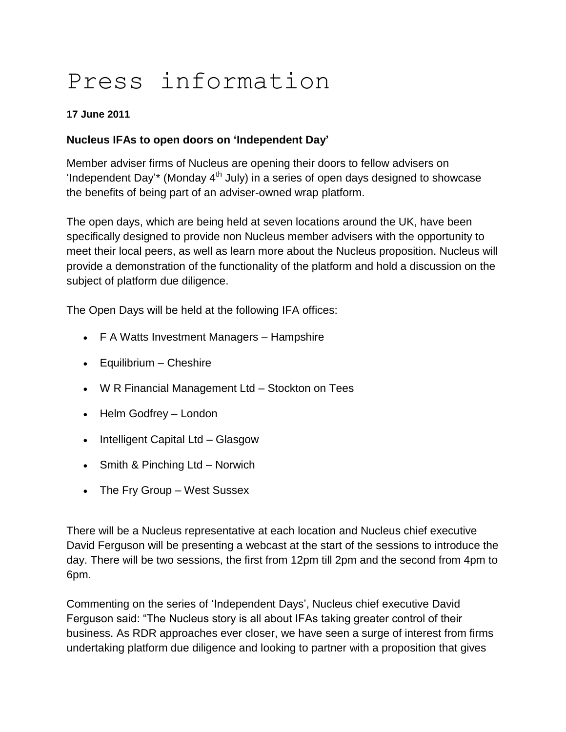# Press information

## **17 June 2011**

## **Nucleus IFAs to open doors on 'Independent Day'**

Member adviser firms of Nucleus are opening their doors to fellow advisers on 'Independent Day'\* (Monday  $4<sup>th</sup>$  July) in a series of open days designed to showcase the benefits of being part of an adviser-owned wrap platform.

The open days, which are being held at seven locations around the UK, have been specifically designed to provide non Nucleus member advisers with the opportunity to meet their local peers, as well as learn more about the Nucleus proposition. Nucleus will provide a demonstration of the functionality of the platform and hold a discussion on the subject of platform due diligence.

The Open Days will be held at the following IFA offices:

- F A Watts Investment Managers Hampshire
- Equilibrium Cheshire
- W R Financial Management Ltd Stockton on Tees
- Helm Godfrey London
- Intelligent Capital Ltd Glasgow
- Smith & Pinching Ltd Norwich
- The Fry Group West Sussex

There will be a Nucleus representative at each location and Nucleus chief executive David Ferguson will be presenting a webcast at the start of the sessions to introduce the day. There will be two sessions, the first from 12pm till 2pm and the second from 4pm to 6pm.

Commenting on the series of "Independent Days", Nucleus chief executive David Ferguson said: "The Nucleus story is all about IFAs taking greater control of their business. As RDR approaches ever closer, we have seen a surge of interest from firms undertaking platform due diligence and looking to partner with a proposition that gives